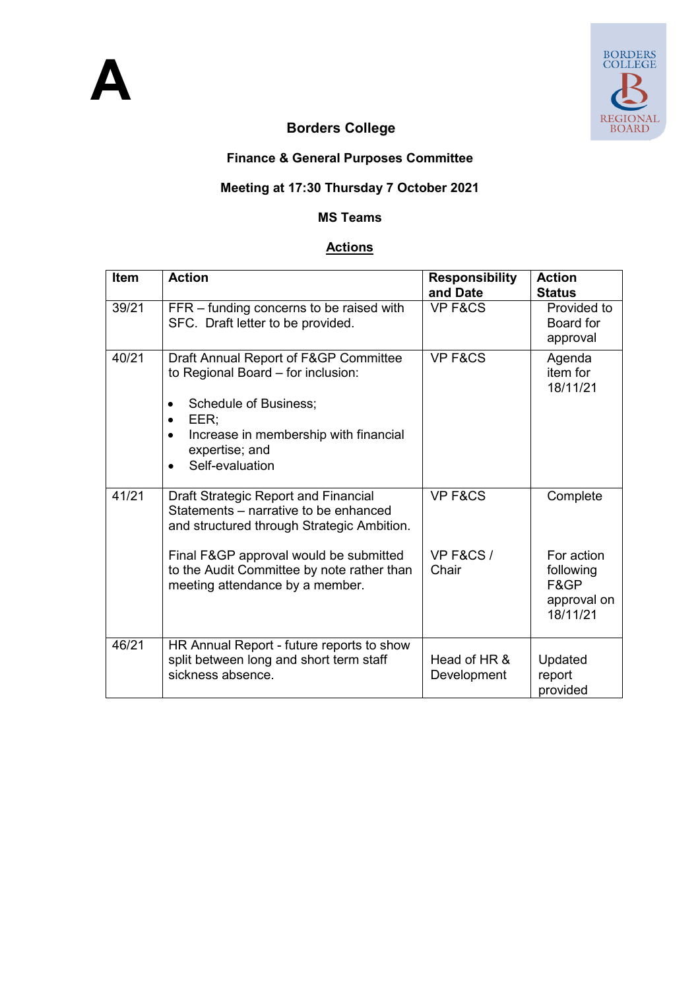

# **Borders College**

## **Finance & General Purposes Committee**

### **Meeting at 17:30 Thursday 7 October 2021**

#### **MS Teams**

#### **Actions**

| Item  | <b>Action</b>                                                                                                                                                                                                | <b>Responsibility</b><br>and Date | <b>Action</b><br><b>Status</b>                             |
|-------|--------------------------------------------------------------------------------------------------------------------------------------------------------------------------------------------------------------|-----------------------------------|------------------------------------------------------------|
| 39/21 | FFR – funding concerns to be raised with<br>SFC. Draft letter to be provided.                                                                                                                                | VP F&CS                           | Provided to<br>Board for<br>approval                       |
| 40/21 | Draft Annual Report of F&GP Committee<br>to Regional Board - for inclusion:<br>Schedule of Business;<br>٠<br>EER:<br>Increase in membership with financial<br>expertise; and<br>Self-evaluation<br>$\bullet$ | VP F&CS                           | Agenda<br>item for<br>18/11/21                             |
| 41/21 | Draft Strategic Report and Financial<br>Statements – narrative to be enhanced<br>and structured through Strategic Ambition.                                                                                  | VP F&CS                           | Complete                                                   |
|       | Final F&GP approval would be submitted<br>to the Audit Committee by note rather than<br>meeting attendance by a member.                                                                                      | VP F&CS /<br>Chair                | For action<br>following<br>F&GP<br>approval on<br>18/11/21 |
| 46/21 | HR Annual Report - future reports to show<br>split between long and short term staff<br>sickness absence.                                                                                                    | Head of HR &<br>Development       | Updated<br>report<br>provided                              |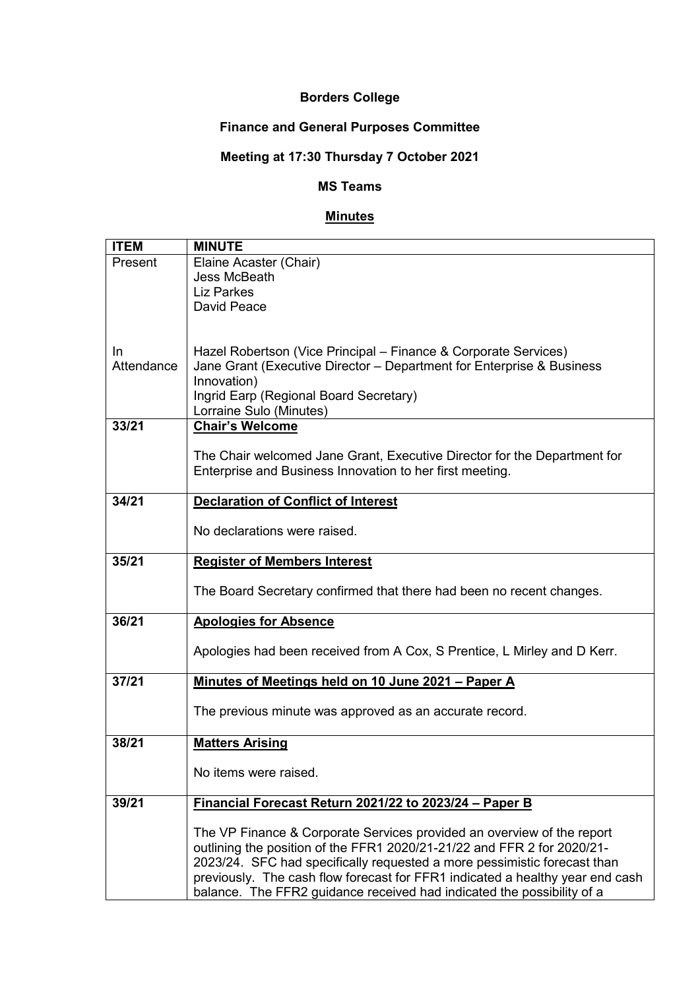#### **Borders College**

## **Finance and General Purposes Committee**

# **Meeting at 17:30 Thursday 7 October 2021**

#### **MS Teams**

### **Minutes**

| <b>ITEM</b> | <b>MINUTE</b>                                                                 |
|-------------|-------------------------------------------------------------------------------|
| Present     | Elaine Acaster (Chair)                                                        |
|             | <b>Jess McBeath</b>                                                           |
|             | <b>Liz Parkes</b>                                                             |
|             | David Peace                                                                   |
|             |                                                                               |
|             |                                                                               |
| In.         | Hazel Robertson (Vice Principal – Finance & Corporate Services)               |
| Attendance  | Jane Grant (Executive Director - Department for Enterprise & Business         |
|             | Innovation)                                                                   |
|             | Ingrid Earp (Regional Board Secretary)                                        |
|             | Lorraine Sulo (Minutes)                                                       |
| 33/21       | <b>Chair's Welcome</b>                                                        |
|             |                                                                               |
|             | The Chair welcomed Jane Grant, Executive Director for the Department for      |
|             | Enterprise and Business Innovation to her first meeting.                      |
| 34/21       |                                                                               |
|             | <b>Declaration of Conflict of Interest</b>                                    |
|             | No declarations were raised.                                                  |
|             |                                                                               |
| 35/21       | <b>Register of Members Interest</b>                                           |
|             |                                                                               |
|             | The Board Secretary confirmed that there had been no recent changes.          |
|             |                                                                               |
| 36/21       | <b>Apologies for Absence</b>                                                  |
|             |                                                                               |
|             | Apologies had been received from A Cox, S Prentice, L Mirley and D Kerr.      |
|             |                                                                               |
| 37/21       | Minutes of Meetings held on 10 June 2021 - Paper A                            |
|             |                                                                               |
|             | The previous minute was approved as an accurate record.                       |
|             |                                                                               |
| 38/21       | <b>Matters Arising</b>                                                        |
|             | No items were raised.                                                         |
|             |                                                                               |
| 39/21       | Financial Forecast Return 2021/22 to 2023/24 - Paper B                        |
|             |                                                                               |
|             | The VP Finance & Corporate Services provided an overview of the report        |
|             | outlining the position of the FFR1 2020/21-21/22 and FFR 2 for 2020/21-       |
|             | 2023/24. SFC had specifically requested a more pessimistic forecast than      |
|             | previously. The cash flow forecast for FFR1 indicated a healthy year end cash |
|             | balance. The FFR2 guidance received had indicated the possibility of a        |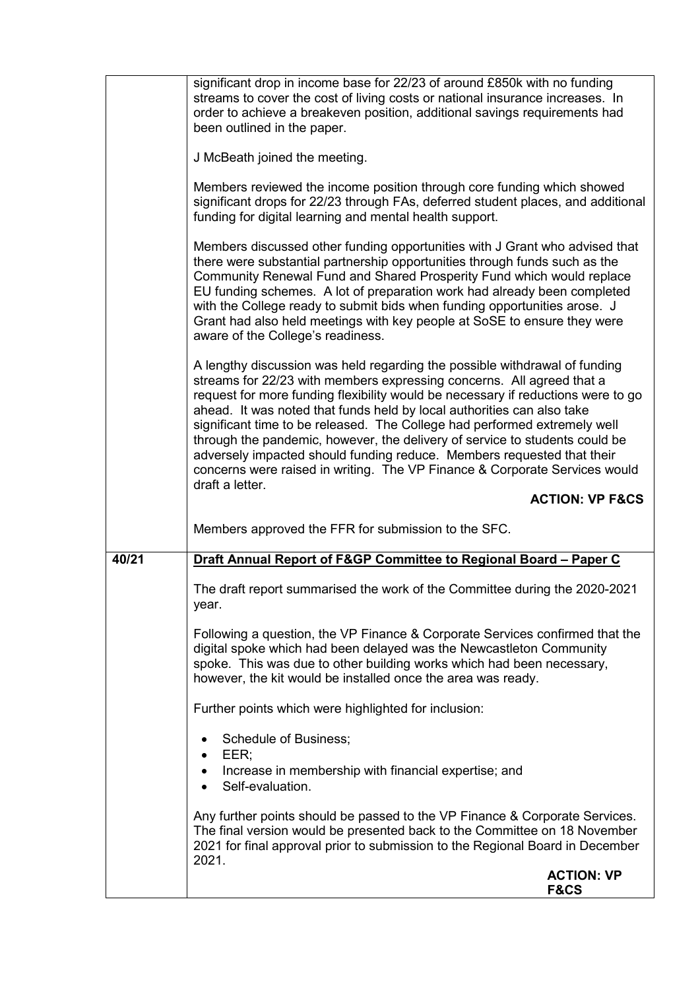|       | significant drop in income base for 22/23 of around £850k with no funding                                                                                                                                                                                                                                                                                                                                                                                                                                                                                                                                                                                |
|-------|----------------------------------------------------------------------------------------------------------------------------------------------------------------------------------------------------------------------------------------------------------------------------------------------------------------------------------------------------------------------------------------------------------------------------------------------------------------------------------------------------------------------------------------------------------------------------------------------------------------------------------------------------------|
|       | streams to cover the cost of living costs or national insurance increases. In<br>order to achieve a breakeven position, additional savings requirements had<br>been outlined in the paper.                                                                                                                                                                                                                                                                                                                                                                                                                                                               |
|       | J McBeath joined the meeting.                                                                                                                                                                                                                                                                                                                                                                                                                                                                                                                                                                                                                            |
|       | Members reviewed the income position through core funding which showed<br>significant drops for 22/23 through FAs, deferred student places, and additional<br>funding for digital learning and mental health support.                                                                                                                                                                                                                                                                                                                                                                                                                                    |
|       | Members discussed other funding opportunities with J Grant who advised that<br>there were substantial partnership opportunities through funds such as the<br>Community Renewal Fund and Shared Prosperity Fund which would replace<br>EU funding schemes. A lot of preparation work had already been completed<br>with the College ready to submit bids when funding opportunities arose. J<br>Grant had also held meetings with key people at SoSE to ensure they were<br>aware of the College's readiness.                                                                                                                                             |
|       | A lengthy discussion was held regarding the possible withdrawal of funding<br>streams for 22/23 with members expressing concerns. All agreed that a<br>request for more funding flexibility would be necessary if reductions were to go<br>ahead. It was noted that funds held by local authorities can also take<br>significant time to be released. The College had performed extremely well<br>through the pandemic, however, the delivery of service to students could be<br>adversely impacted should funding reduce. Members requested that their<br>concerns were raised in writing. The VP Finance & Corporate Services would<br>draft a letter. |
|       |                                                                                                                                                                                                                                                                                                                                                                                                                                                                                                                                                                                                                                                          |
|       | <b>ACTION: VP F&amp;CS</b>                                                                                                                                                                                                                                                                                                                                                                                                                                                                                                                                                                                                                               |
|       | Members approved the FFR for submission to the SFC.                                                                                                                                                                                                                                                                                                                                                                                                                                                                                                                                                                                                      |
| 40/21 | Draft Annual Report of F&GP Committee to Regional Board - Paper C                                                                                                                                                                                                                                                                                                                                                                                                                                                                                                                                                                                        |
|       | The draft report summarised the work of the Committee during the 2020-2021<br>year.                                                                                                                                                                                                                                                                                                                                                                                                                                                                                                                                                                      |
|       | Following a question, the VP Finance & Corporate Services confirmed that the<br>digital spoke which had been delayed was the Newcastleton Community<br>spoke. This was due to other building works which had been necessary,<br>however, the kit would be installed once the area was ready.                                                                                                                                                                                                                                                                                                                                                             |
|       | Further points which were highlighted for inclusion:                                                                                                                                                                                                                                                                                                                                                                                                                                                                                                                                                                                                     |
|       | Schedule of Business;                                                                                                                                                                                                                                                                                                                                                                                                                                                                                                                                                                                                                                    |
|       | EER;<br>Increase in membership with financial expertise; and<br>Self-evaluation.                                                                                                                                                                                                                                                                                                                                                                                                                                                                                                                                                                         |
|       | Any further points should be passed to the VP Finance & Corporate Services.<br>The final version would be presented back to the Committee on 18 November<br>2021 for final approval prior to submission to the Regional Board in December<br>2021.                                                                                                                                                                                                                                                                                                                                                                                                       |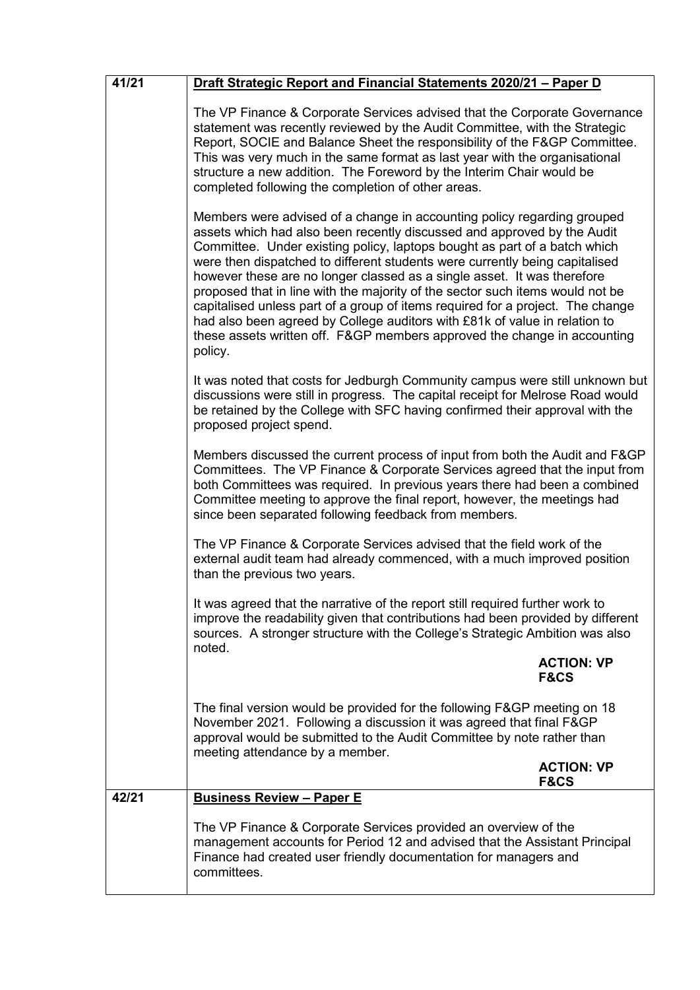| 41/21 | Draft Strategic Report and Financial Statements 2020/21 - Paper D                                                                                                                                                                                                                                                                                                                                                                                                                                                                                                                                                                                                                                                                 |
|-------|-----------------------------------------------------------------------------------------------------------------------------------------------------------------------------------------------------------------------------------------------------------------------------------------------------------------------------------------------------------------------------------------------------------------------------------------------------------------------------------------------------------------------------------------------------------------------------------------------------------------------------------------------------------------------------------------------------------------------------------|
|       | The VP Finance & Corporate Services advised that the Corporate Governance<br>statement was recently reviewed by the Audit Committee, with the Strategic<br>Report, SOCIE and Balance Sheet the responsibility of the F&GP Committee.<br>This was very much in the same format as last year with the organisational<br>structure a new addition. The Foreword by the Interim Chair would be<br>completed following the completion of other areas.                                                                                                                                                                                                                                                                                  |
|       | Members were advised of a change in accounting policy regarding grouped<br>assets which had also been recently discussed and approved by the Audit<br>Committee. Under existing policy, laptops bought as part of a batch which<br>were then dispatched to different students were currently being capitalised<br>however these are no longer classed as a single asset. It was therefore<br>proposed that in line with the majority of the sector such items would not be<br>capitalised unless part of a group of items required for a project. The change<br>had also been agreed by College auditors with £81k of value in relation to<br>these assets written off. F&GP members approved the change in accounting<br>policy. |
|       | It was noted that costs for Jedburgh Community campus were still unknown but<br>discussions were still in progress. The capital receipt for Melrose Road would<br>be retained by the College with SFC having confirmed their approval with the<br>proposed project spend.                                                                                                                                                                                                                                                                                                                                                                                                                                                         |
|       | Members discussed the current process of input from both the Audit and F&GP<br>Committees. The VP Finance & Corporate Services agreed that the input from<br>both Committees was required. In previous years there had been a combined<br>Committee meeting to approve the final report, however, the meetings had<br>since been separated following feedback from members.                                                                                                                                                                                                                                                                                                                                                       |
|       | The VP Finance & Corporate Services advised that the field work of the<br>external audit team had already commenced, with a much improved position<br>than the previous two years.                                                                                                                                                                                                                                                                                                                                                                                                                                                                                                                                                |
|       | It was agreed that the narrative of the report still required further work to<br>improve the readability given that contributions had been provided by different<br>sources. A stronger structure with the College's Strategic Ambition was also<br>noted.                                                                                                                                                                                                                                                                                                                                                                                                                                                                        |
|       | <b>ACTION: VP</b><br><b>F&amp;CS</b>                                                                                                                                                                                                                                                                                                                                                                                                                                                                                                                                                                                                                                                                                              |
|       | The final version would be provided for the following F&GP meeting on 18<br>November 2021. Following a discussion it was agreed that final F&GP<br>approval would be submitted to the Audit Committee by note rather than<br>meeting attendance by a member.                                                                                                                                                                                                                                                                                                                                                                                                                                                                      |
|       | <b>ACTION: VP</b><br><b>F&amp;CS</b>                                                                                                                                                                                                                                                                                                                                                                                                                                                                                                                                                                                                                                                                                              |
| 42/21 | <b>Business Review - Paper E</b>                                                                                                                                                                                                                                                                                                                                                                                                                                                                                                                                                                                                                                                                                                  |
|       | The VP Finance & Corporate Services provided an overview of the<br>management accounts for Period 12 and advised that the Assistant Principal<br>Finance had created user friendly documentation for managers and<br>committees.                                                                                                                                                                                                                                                                                                                                                                                                                                                                                                  |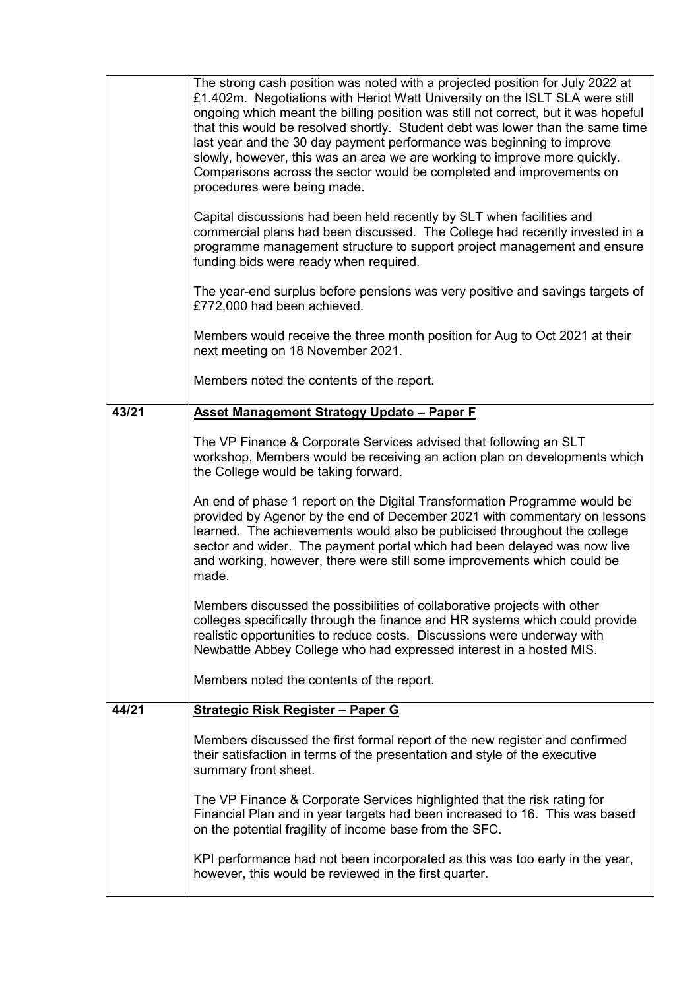|       | on the potential fragility of income base from the SFC.<br>KPI performance had not been incorporated as this was too early in the year,<br>however, this would be reviewed in the first quarter.                                                                                                                                                                                                                                                                                                                                                                                                   |
|-------|----------------------------------------------------------------------------------------------------------------------------------------------------------------------------------------------------------------------------------------------------------------------------------------------------------------------------------------------------------------------------------------------------------------------------------------------------------------------------------------------------------------------------------------------------------------------------------------------------|
|       | The VP Finance & Corporate Services highlighted that the risk rating for<br>Financial Plan and in year targets had been increased to 16. This was based                                                                                                                                                                                                                                                                                                                                                                                                                                            |
|       | Members discussed the first formal report of the new register and confirmed<br>their satisfaction in terms of the presentation and style of the executive<br>summary front sheet.                                                                                                                                                                                                                                                                                                                                                                                                                  |
| 44/21 | <b>Strategic Risk Register - Paper G</b>                                                                                                                                                                                                                                                                                                                                                                                                                                                                                                                                                           |
|       | Members noted the contents of the report.                                                                                                                                                                                                                                                                                                                                                                                                                                                                                                                                                          |
|       | Members discussed the possibilities of collaborative projects with other<br>colleges specifically through the finance and HR systems which could provide<br>realistic opportunities to reduce costs. Discussions were underway with<br>Newbattle Abbey College who had expressed interest in a hosted MIS.                                                                                                                                                                                                                                                                                         |
|       | An end of phase 1 report on the Digital Transformation Programme would be<br>provided by Agenor by the end of December 2021 with commentary on lessons<br>learned. The achievements would also be publicised throughout the college<br>sector and wider. The payment portal which had been delayed was now live<br>and working, however, there were still some improvements which could be<br>made.                                                                                                                                                                                                |
| 43/21 | Asset Management Strategy Update - Paper F<br>The VP Finance & Corporate Services advised that following an SLT<br>workshop, Members would be receiving an action plan on developments which<br>the College would be taking forward.                                                                                                                                                                                                                                                                                                                                                               |
|       | Members noted the contents of the report.                                                                                                                                                                                                                                                                                                                                                                                                                                                                                                                                                          |
|       | Members would receive the three month position for Aug to Oct 2021 at their<br>next meeting on 18 November 2021.                                                                                                                                                                                                                                                                                                                                                                                                                                                                                   |
|       | The year-end surplus before pensions was very positive and savings targets of<br>£772,000 had been achieved.                                                                                                                                                                                                                                                                                                                                                                                                                                                                                       |
|       | Capital discussions had been held recently by SLT when facilities and<br>commercial plans had been discussed. The College had recently invested in a<br>programme management structure to support project management and ensure<br>funding bids were ready when required.                                                                                                                                                                                                                                                                                                                          |
|       | The strong cash position was noted with a projected position for July 2022 at<br>£1.402m. Negotiations with Heriot Watt University on the ISLT SLA were still<br>ongoing which meant the billing position was still not correct, but it was hopeful<br>that this would be resolved shortly. Student debt was lower than the same time<br>last year and the 30 day payment performance was beginning to improve<br>slowly, however, this was an area we are working to improve more quickly.<br>Comparisons across the sector would be completed and improvements on<br>procedures were being made. |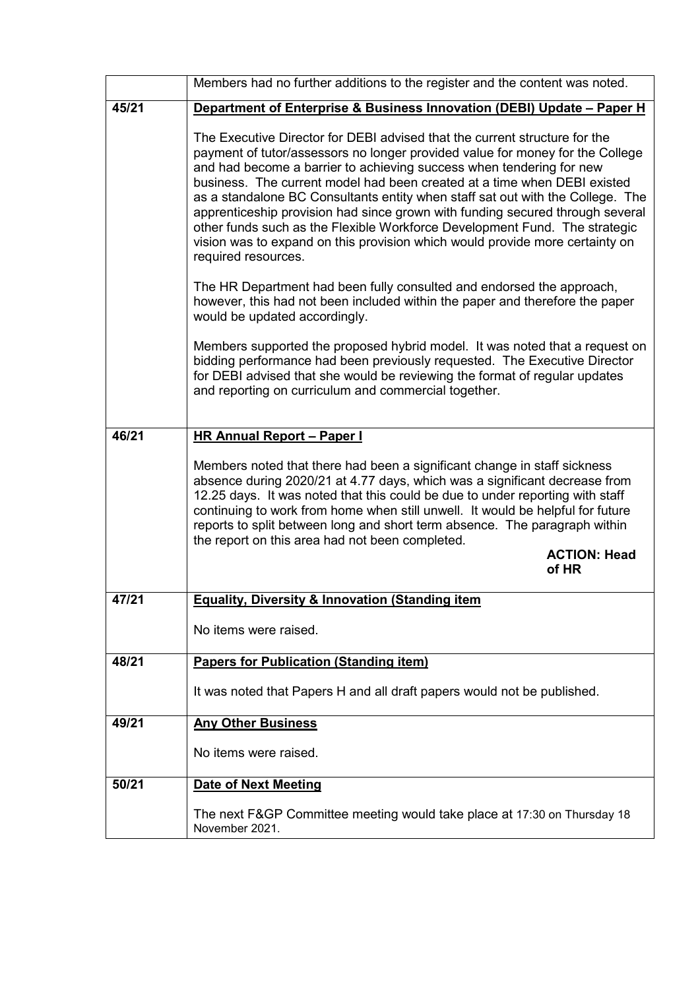|       | Members had no further additions to the register and the content was noted.                                                                                                                                                                                                                                                                                                                                                                                                                                                                                                                                                                                             |  |
|-------|-------------------------------------------------------------------------------------------------------------------------------------------------------------------------------------------------------------------------------------------------------------------------------------------------------------------------------------------------------------------------------------------------------------------------------------------------------------------------------------------------------------------------------------------------------------------------------------------------------------------------------------------------------------------------|--|
| 45/21 | Department of Enterprise & Business Innovation (DEBI) Update - Paper H                                                                                                                                                                                                                                                                                                                                                                                                                                                                                                                                                                                                  |  |
|       | The Executive Director for DEBI advised that the current structure for the<br>payment of tutor/assessors no longer provided value for money for the College<br>and had become a barrier to achieving success when tendering for new<br>business. The current model had been created at a time when DEBI existed<br>as a standalone BC Consultants entity when staff sat out with the College. The<br>apprenticeship provision had since grown with funding secured through several<br>other funds such as the Flexible Workforce Development Fund. The strategic<br>vision was to expand on this provision which would provide more certainty on<br>required resources. |  |
|       | The HR Department had been fully consulted and endorsed the approach,<br>however, this had not been included within the paper and therefore the paper<br>would be updated accordingly.                                                                                                                                                                                                                                                                                                                                                                                                                                                                                  |  |
|       | Members supported the proposed hybrid model. It was noted that a request on<br>bidding performance had been previously requested. The Executive Director<br>for DEBI advised that she would be reviewing the format of regular updates<br>and reporting on curriculum and commercial together.                                                                                                                                                                                                                                                                                                                                                                          |  |
| 46/21 | <b>HR Annual Report - Paper I</b>                                                                                                                                                                                                                                                                                                                                                                                                                                                                                                                                                                                                                                       |  |
|       | Members noted that there had been a significant change in staff sickness<br>absence during 2020/21 at 4.77 days, which was a significant decrease from<br>12.25 days. It was noted that this could be due to under reporting with staff<br>continuing to work from home when still unwell. It would be helpful for future<br>reports to split between long and short term absence. The paragraph within<br>the report on this area had not been completed.<br><b>ACTION: Head</b>                                                                                                                                                                                       |  |
|       | of HR                                                                                                                                                                                                                                                                                                                                                                                                                                                                                                                                                                                                                                                                   |  |
| 47/21 | <b>Equality, Diversity &amp; Innovation (Standing item</b>                                                                                                                                                                                                                                                                                                                                                                                                                                                                                                                                                                                                              |  |
|       | No items were raised.                                                                                                                                                                                                                                                                                                                                                                                                                                                                                                                                                                                                                                                   |  |
| 48/21 | <b>Papers for Publication (Standing item)</b>                                                                                                                                                                                                                                                                                                                                                                                                                                                                                                                                                                                                                           |  |
|       | It was noted that Papers H and all draft papers would not be published.                                                                                                                                                                                                                                                                                                                                                                                                                                                                                                                                                                                                 |  |
| 49/21 | <b>Any Other Business</b>                                                                                                                                                                                                                                                                                                                                                                                                                                                                                                                                                                                                                                               |  |
|       | No items were raised.                                                                                                                                                                                                                                                                                                                                                                                                                                                                                                                                                                                                                                                   |  |
| 50/21 | <b>Date of Next Meeting</b>                                                                                                                                                                                                                                                                                                                                                                                                                                                                                                                                                                                                                                             |  |
|       | The next F&GP Committee meeting would take place at 17:30 on Thursday 18<br>November 2021.                                                                                                                                                                                                                                                                                                                                                                                                                                                                                                                                                                              |  |